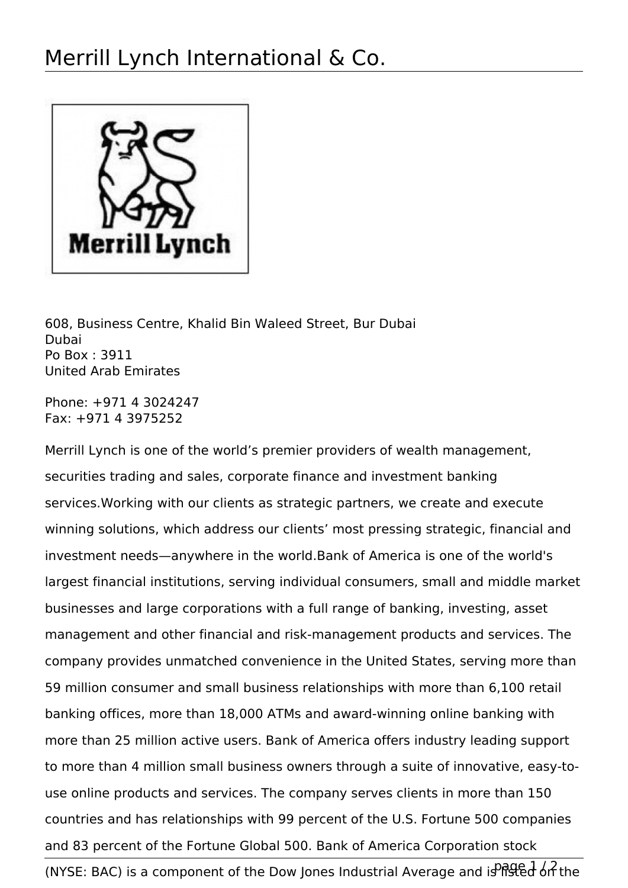

608, Business Centre, Khalid Bin Waleed Street, Bur Dubai Dubai Po Box : 3911 United Arab Emirates

Phone: +971 4 3024247 Fax: +971 4 3975252

Merrill Lynch is one of the world's premier providers of wealth management, securities trading and sales, corporate finance and investment banking services.Working with our clients as strategic partners, we create and execute winning solutions, which address our clients' most pressing strategic, financial and investment needs—anywhere in the world.Bank of America is one of the world's largest financial institutions, serving individual consumers, small and middle market businesses and large corporations with a full range of banking, investing, asset management and other financial and risk-management products and services. The company provides unmatched convenience in the United States, serving more than 59 million consumer and small business relationships with more than 6,100 retail banking offices, more than 18,000 ATMs and award-winning online banking with more than 25 million active users. Bank of America offers industry leading support to more than 4 million small business owners through a suite of innovative, easy-touse online products and services. The company serves clients in more than 150 countries and has relationships with 99 percent of the U.S. Fortune 500 companies and 83 percent of the Fortune Global 500. Bank of America Corporation stock

(NYSE: BAC) is a component of the Dow Jones Industrial Average and is  $P$ <sub>i</sub>  $P_1$   $P_2$   $P_3$   $P_4$  the